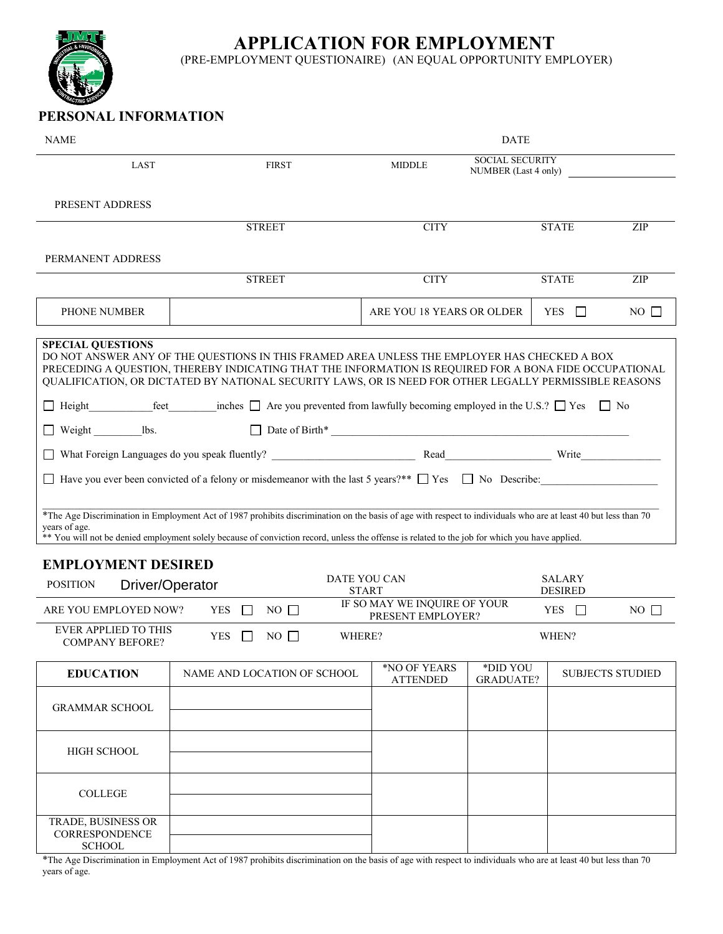**APPLICATION FOR EMPLOYMENT** 

(PRE-EMPLOYMENT QUESTIONAIRE) (AN EQUAL OPPORTUNITY EMPLOYER)

## **PERSONAL INFORMATION**

| <b>NAME</b>                                                                                                                                                                                                                                                                                                                                                                                                                                                          |               |                             |                                                                 | <b>DATE</b>                                    |              |                         |
|----------------------------------------------------------------------------------------------------------------------------------------------------------------------------------------------------------------------------------------------------------------------------------------------------------------------------------------------------------------------------------------------------------------------------------------------------------------------|---------------|-----------------------------|-----------------------------------------------------------------|------------------------------------------------|--------------|-------------------------|
| LAST                                                                                                                                                                                                                                                                                                                                                                                                                                                                 |               | <b>FIRST</b>                | <b>MIDDLE</b>                                                   | <b>SOCIAL SECURITY</b><br>NUMBER (Last 4 only) |              |                         |
| PRESENT ADDRESS                                                                                                                                                                                                                                                                                                                                                                                                                                                      |               |                             |                                                                 |                                                |              |                         |
|                                                                                                                                                                                                                                                                                                                                                                                                                                                                      | <b>STREET</b> |                             | <b>CITY</b>                                                     |                                                | <b>STATE</b> | ZIP                     |
| PERMANENT ADDRESS                                                                                                                                                                                                                                                                                                                                                                                                                                                    |               |                             |                                                                 |                                                |              |                         |
|                                                                                                                                                                                                                                                                                                                                                                                                                                                                      | <b>STREET</b> |                             | <b>CITY</b>                                                     |                                                | <b>STATE</b> | ZIP                     |
| PHONE NUMBER                                                                                                                                                                                                                                                                                                                                                                                                                                                         |               |                             | ARE YOU 18 YEARS OR OLDER                                       |                                                | YES $\Box$   | $NO \Box$               |
| <b>SPECIAL QUESTIONS</b><br>DO NOT ANSWER ANY OF THE QUESTIONS IN THIS FRAMED AREA UNLESS THE EMPLOYER HAS CHECKED A BOX<br>PRECEDING A QUESTION, THEREBY INDICATING THAT THE INFORMATION IS REQUIRED FOR A BONA FIDE OCCUPATIONAL<br>QUALIFICATION, OR DICTATED BY NATIONAL SECURITY LAWS, OR IS NEED FOR OTHER LEGALLY PERMISSIBLE REASONS<br>$\Box$ Height feet inches $\Box$ Are you prevented from lawfully becoming employed in the U.S.? $\Box$ Yes $\Box$ No |               |                             |                                                                 |                                                |              |                         |
| $\Box$ Weight $\Box$ lbs.                                                                                                                                                                                                                                                                                                                                                                                                                                            |               |                             |                                                                 |                                                |              |                         |
| $\Box$ Have you ever been convicted of a felony or misdemeanor with the last 5 years?** $\Box$ Yes $\Box$ No Describe:                                                                                                                                                                                                                                                                                                                                               |               |                             |                                                                 |                                                |              |                         |
| *The Age Discrimination in Employment Act of 1987 prohibits discrimination on the basis of age with respect to individuals who are at least 40 but less than 70<br>years of age.<br>** You will not be denied employment solely because of conviction record, unless the offense is related to the job for which you have applied.                                                                                                                                   |               |                             |                                                                 |                                                |              |                         |
| <b>EMPLOYMENT DESIRED</b>                                                                                                                                                                                                                                                                                                                                                                                                                                            |               |                             |                                                                 |                                                |              |                         |
| Driver/Operator<br><b>POSITION</b>                                                                                                                                                                                                                                                                                                                                                                                                                                   |               |                             | <b>DATE YOU CAN</b><br><b>SALARY</b><br><b>DESIRED</b><br>START |                                                |              |                         |
| IF SO MAY WE INQUIRE OF YOUR<br>ARE YOU EMPLOYED NOW?<br><b>YES</b><br>$NO$ $\Box$<br>YES $\Box$<br>PRESENT EMPLOYER?                                                                                                                                                                                                                                                                                                                                                |               |                             |                                                                 | $NO$ $\Box$                                    |              |                         |
| <b>EVER APPLIED TO THIS</b><br><b>YES</b><br>$NO$ $\Box$<br>WHERE?<br>WHEN?<br><b>COMPANY BEFORE?</b>                                                                                                                                                                                                                                                                                                                                                                |               |                             |                                                                 |                                                |              |                         |
| <b>EDUCATION</b>                                                                                                                                                                                                                                                                                                                                                                                                                                                     |               | NAME AND LOCATION OF SCHOOL | *NO OF YEARS<br><b>ATTENDED</b>                                 | *DID YOU<br><b>GRADUATE?</b>                   |              | <b>SUBJECTS STUDIED</b> |
| <b>GRAMMAR SCHOOL</b>                                                                                                                                                                                                                                                                                                                                                                                                                                                |               |                             |                                                                 |                                                |              |                         |
| <b>HIGH SCHOOL</b>                                                                                                                                                                                                                                                                                                                                                                                                                                                   |               |                             |                                                                 |                                                |              |                         |
| <b>COLLEGE</b>                                                                                                                                                                                                                                                                                                                                                                                                                                                       |               |                             |                                                                 |                                                |              |                         |
| TRADE, BUSINESS OR<br><b>CORRESPONDENCE</b><br><b>SCHOOL</b>                                                                                                                                                                                                                                                                                                                                                                                                         |               |                             |                                                                 |                                                |              |                         |

\*The Age Discrimination in Employment Act of 1987 prohibits discrimination on the basis of age with respect to individuals who are at least 40 but less than 70 years of age.